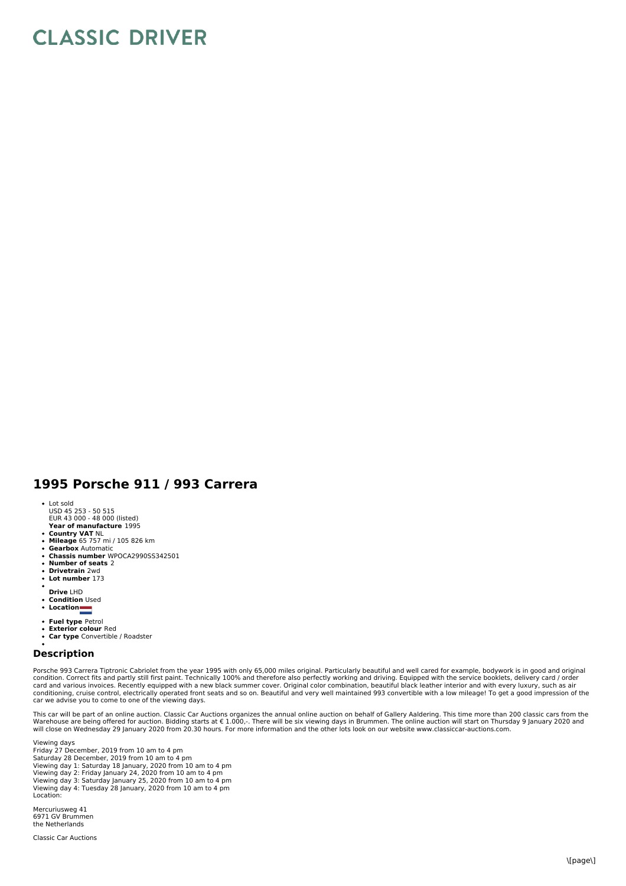## **CLASSIC DRIVER**

## **1995 Porsche 911 / 993 Carrera**

- Lot sold
- USD 45 253 50 515 EUR 43 000 48 000 (listed)
- **Year of manufacture** 1995
- **Country VAT** NL
- **Mileage** 65 757 mi / 105 826 km  $\ddot{\phantom{a}}$ **Gearbox** Automatic
- **Chassis number** WPOCA2990SS342501
- $\ddot{\phantom{a}}$ **Number of seats** 2
- $\bullet$ **Drivetrain** 2wd **Lot number** 173
- 
- **Drive** LHD
- **Condition** Used
- **Location**
- 
- **Fuel type** Petrol **Exterior colour** Red
- **Car type** Convertible / Roadster

## **Description**

Porsche 993 Carrera Tiptronic Cabriolet from the year 1995 with only 65,000 miles original. Particularly beautiful and well cared for example, bodywork is in good and original<br>condition. Correct fits and partly still first conditioning, cruise control, electrically operated front seats and so on. Beautiful and very well maintained 993 convertible with a low mileage! To get a good impression of the<br>car we advise you to come to one of the view

This car will be part of an online auction. Classic Car Auctions organizes the annual online auction on behalf of Gallery Aaldering. This time more than 200 classic cars from the<br>Warehouse are being offered for auction. Bi

Viewing days Friday 27 December, 2019 from 10 am to 4 pm Saturday 28 December, 2019 from 10 am to 4 pm Viewing day 1: Saturday 18 January, 2020 from 10 am to 4 pm Viewing day 2: Friday January 24, 2020 from 10 am to 4 pm Viewing day 3: Saturday January 25, 2020 from 10 am to 4 pm Viewing day 4: Tuesday 28 January, 2020 from 10 am to 4 pm Location:

Mercuriusweg 41 6971 GV Brummen the Netherlands

Classic Car Auctions